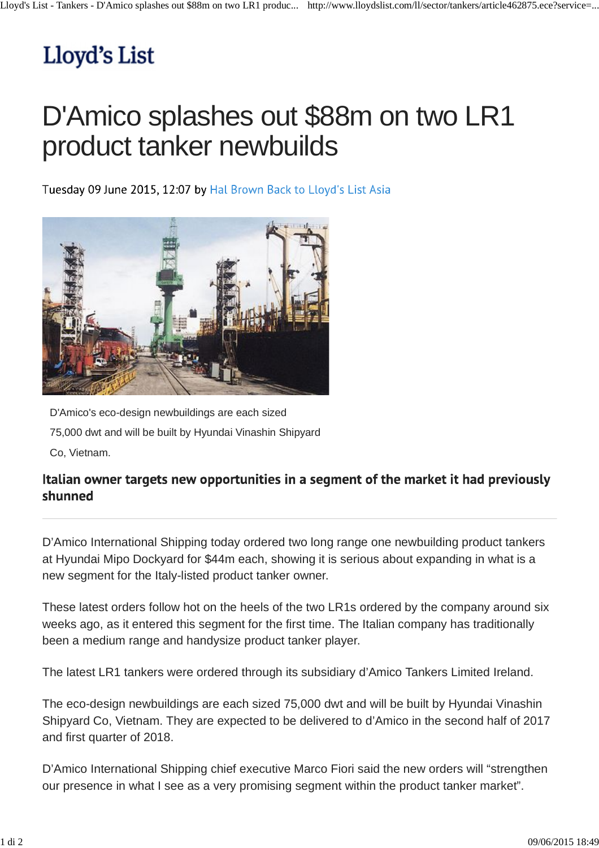## Lloyd's List

## D'Amico splashes out \$88m on two LR1 product tanker newbuilds

Tuesday 09 June 2015, 12:07 by Hal Brown Back to Lloyd's List Asia



D'Amico's eco-design newbuildings are each sized 75,000 dwt and will be built by Hyundai Vinashin Shipyard

Co, Vietnam.

## Italian owner targets new opportunities in a segment of the market it had previously shunned

D'Amico International Shipping today ordered two long range one newbuilding product tankers at Hyundai Mipo Dockyard for \$44m each, showing it is serious about expanding in what is a new segment for the Italy-listed product tanker owner.

These latest orders follow hot on the heels of the two LR1s ordered by the company around six weeks ago, as it entered this segment for the first time. The Italian company has traditionally been a medium range and handysize product tanker player.

The latest LR1 tankers were ordered through its subsidiary d'Amico Tankers Limited Ireland.

The eco-design newbuildings are each sized 75,000 dwt and will be built by Hyundai Vinashin Shipyard Co, Vietnam. They are expected to be delivered to d'Amico in the second half of 2017 and first quarter of 2018.

D'Amico International Shipping chief executive Marco Fiori said the new orders will "strengthen our presence in what I see as a very promising segment within the product tanker market".